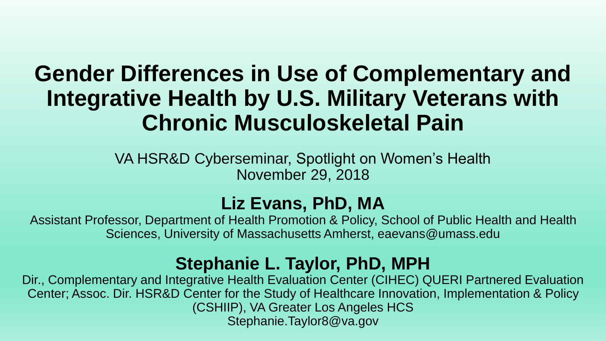# **Gender Differences in Use of Complementary and Integrative Health by U.S. Military Veterans with Chronic Musculoskeletal Pain**

VA HSR&D Cyberseminar, Spotlight on Women's Health November 29, 2018

#### **Liz Evans, PhD, MA**

Assistant Professor, Department of Health Promotion & Policy, School of Public Health and Health Sciences, University of Massachusetts Amherst, eaevans@umass.edu

#### **Stephanie L. Taylor, PhD, MPH**

Dir., Complementary and Integrative Health Evaluation Center (CIHEC) QUERI Partnered Evaluation Center; Assoc. Dir. HSR&D Center for the Study of Healthcare Innovation, Implementation & Policy (CSHIIP), VA Greater Los Angeles HCS Stephanie.Taylor8@va.gov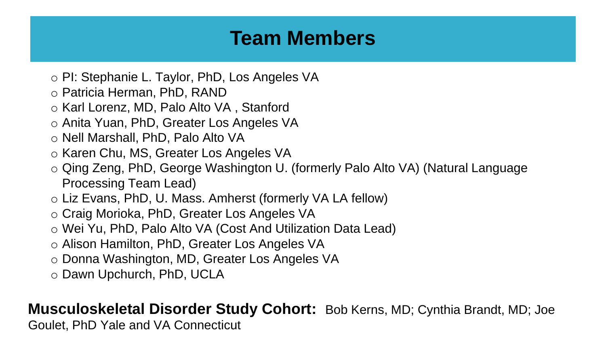#### **Team Members**

- o PI: Stephanie L. Taylor, PhD, Los Angeles VA
- o Patricia Herman, PhD, RAND
- o Karl Lorenz, MD, Palo Alto VA , Stanford
- o Anita Yuan, PhD, Greater Los Angeles VA
- o Nell Marshall, PhD, Palo Alto VA
- o Karen Chu, MS, Greater Los Angeles VA
- o Qing Zeng, PhD, George Washington U. (formerly Palo Alto VA) (Natural Language Processing Team Lead)
- o Liz Evans, PhD, U. Mass. Amherst (formerly VA LA fellow)
- o Craig Morioka, PhD, Greater Los Angeles VA
- o Wei Yu, PhD, Palo Alto VA (Cost And Utilization Data Lead)
- o Alison Hamilton, PhD, Greater Los Angeles VA
- o Donna Washington, MD, Greater Los Angeles VA
- o Dawn Upchurch, PhD, UCLA

#### **Musculoskeletal Disorder Study Cohort:** Bob Kerns, MD; Cynthia Brandt, MD; Joe Goulet, PhD Yale and VA Connecticut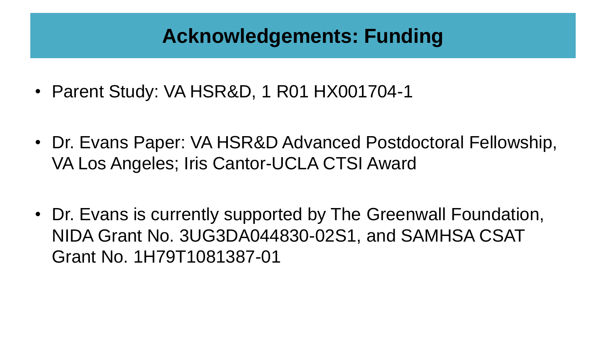#### **Acknowledgements: Funding**

- Parent Study: VA HSR&D, 1 R01 HX001704-1
- Dr. Evans Paper: VA HSR&D Advanced Postdoctoral Fellowship, VA Los Angeles; Iris Cantor-UCLA CTSI Award
- Dr. Evans is currently supported by The Greenwall Foundation, NIDA Grant No. 3UG3DA044830-02S1, and SAMHSA CSAT Grant No. 1H79T1081387-01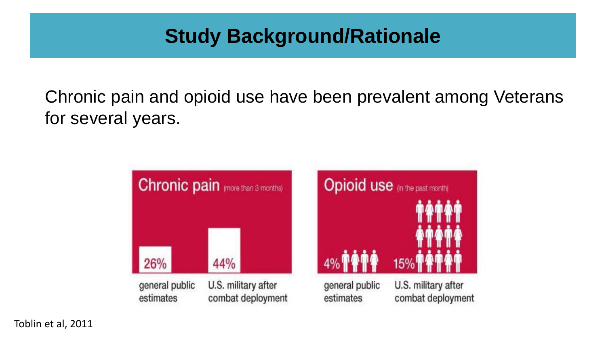#### **Study Background/Rationale**

Chronic pain and opioid use have been prevalent among Veterans for several years.



Toblin et al, 2011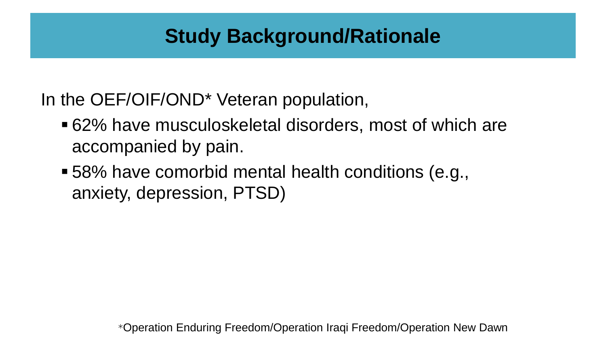#### **Study Background/Rationale**

In the OEF/OIF/OND\* Veteran population,

- 62% have musculoskeletal disorders, most of which are accompanied by pain.
- 58% have comorbid mental health conditions (e.g., anxiety, depression, PTSD)

\*Operation Enduring Freedom/Operation Iraqi Freedom/Operation New Dawn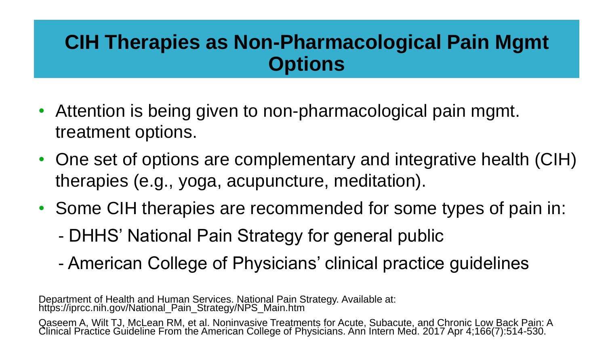#### **CIH Therapies as Non-Pharmacological Pain Mgmt Options**

- Attention is being given to non-pharmacological pain mgmt. treatment options.
- One set of options are complementary and integrative health (CIH) therapies (e.g., yoga, acupuncture, meditation).
- Some CIH therapies are recommended for some types of pain in:
	- DHHS' National Pain Strategy for general public
	- American College of Physicians' clinical practice guidelines

Department of Health and Human Services. National Pain Strategy. Available at: https://iprcc.nih.gov/National\_Pain\_Strategy/NPS\_Main.htm

Qaseem A, Wilt TJ, McLean RM, et al. Noninvasive Treatments for Acute, Subacute, and Chronic Low Back Pain: A Clinical Practice Guideline From the American College of Physicians. Ann Intern Med. 2017 Apr 4;166(7):514-530.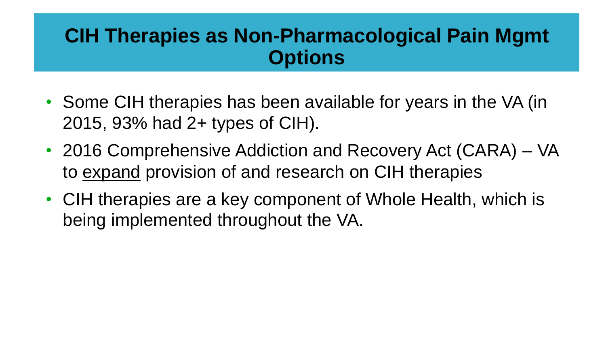#### **CIH Therapies as Non-Pharmacological Pain Mgmt Options**

- Some CIH therapies has been available for years in the VA (in 2015, 93% had 2+ types of CIH).
- 2016 Comprehensive Addiction and Recovery Act (CARA) VA to expand provision of and research on CIH therapies
- CIH therapies are a key component of Whole Health, which is being implemented throughout the VA.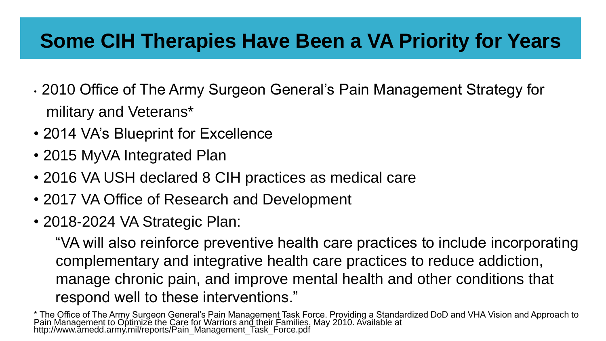#### **Some CIH Therapies Have Been a VA Priority for Years**

- 2010 Office of The Army Surgeon General's Pain Management Strategy for military and Veterans\*
- 2014 VA's Blueprint for Excellence
- 2015 MyVA Integrated Plan
- 2016 VA USH declared 8 CIH practices as medical care
- 2017 VA Office of Research and Development
- 2018-2024 VA Strategic Plan:

"VA will also reinforce preventive health care practices to include incorporating complementary and integrative health care practices to reduce addiction, manage chronic pain, and improve mental health and other conditions that respond well to these interventions."

\* The Office of The Army Surgeon General's Pain Management Task Force. Providing a Standardized DoD and VHA Vision and Approach to Pain Management to Optimize the Care for Warriors and their Families. May 2010. Available at http://www.amedd.army.mil/reports/Pain\_Management\_Task\_Force.pdf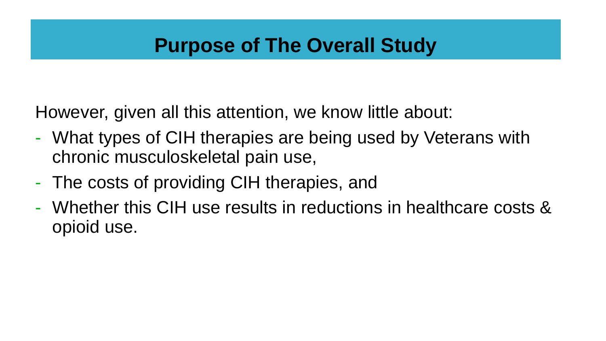#### **Purpose of The Overall Study**

However, given all this attention, we know little about:

- What types of CIH therapies are being used by Veterans with chronic musculoskeletal pain use,
- The costs of providing CIH therapies, and
- Whether this CIH use results in reductions in healthcare costs & opioid use.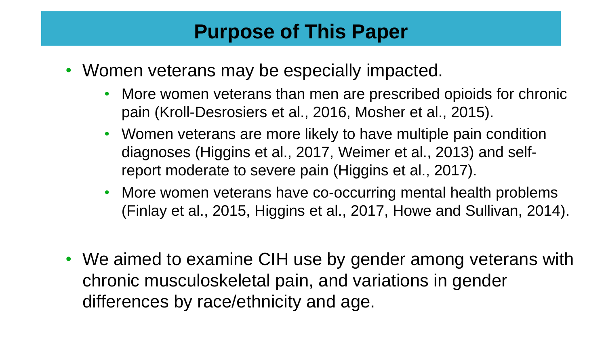#### **Purpose of This Paper**

- Women veterans may be especially impacted.
	- More women veterans than men are prescribed opioids for chronic pain (Kroll-Desrosiers et al., 2016, Mosher et al., 2015).
	- Women veterans are more likely to have multiple pain condition diagnoses (Higgins et al., 2017, Weimer et al., 2013) and selfreport moderate to severe pain (Higgins et al., 2017).
	- More women veterans have co-occurring mental health problems (Finlay et al., 2015, Higgins et al., 2017, Howe and Sullivan, 2014).
- We aimed to examine CIH use by gender among veterans with chronic musculoskeletal pain, and variations in gender differences by race/ethnicity and age.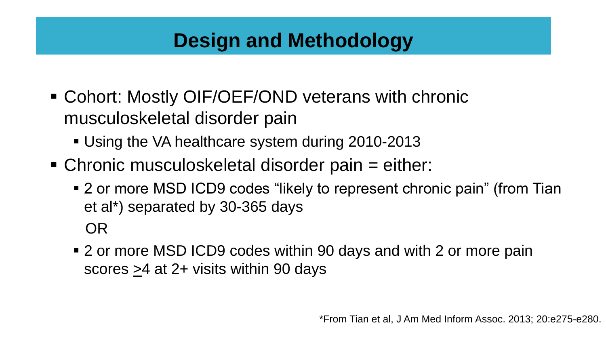### **Design and Methodology**

■ Cohort: Mostly OIF/OEF/OND veterans with chronic musculoskeletal disorder pain

▪ Using the VA healthcare system during 2010-2013

- Chronic musculoskeletal disorder pain = either:
	- 2 or more MSD ICD9 codes "likely to represent chronic pain" (from Tian et al\*) separated by 30-365 days OR
	- 2 or more MSD ICD9 codes within 90 days and with 2 or more pain scores >4 at 2+ visits within 90 days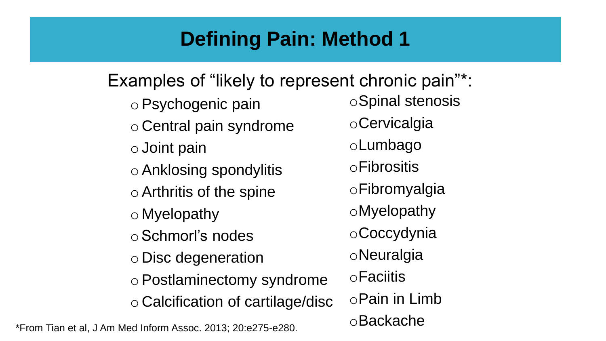## **Defining Pain: Method 1**

\*From Tian et al, J Am Med Inform Assoc. 2013; 20:e275-e280. Examples of "likely to represent chronic pain"\*: oPsychogenic pain o Central pain syndrome o Joint pain oAnklosing spondylitis oArthritis of the spine o Myelopathy oSchmorl's nodes o Disc degeneration oPostlaminectomy syndrome o Calcification of cartilage/disc oSpinal stenosis oCervicalgia oLumbago oFibrositis oFibromyalgia oMyelopathy oCoccydynia oNeuralgia oFaciitis oPain in Limb oBackache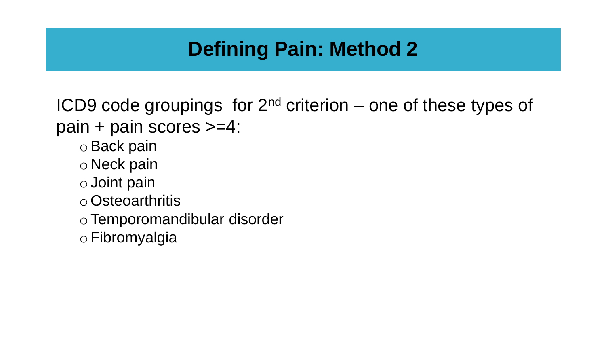### **Defining Pain: Method 2**

ICD9 code groupings for  $2^{nd}$  criterion – one of these types of pain + pain scores >=4:

- oBack pain
- o Neck pain
- oJoint pain
- oOsteoarthritis
- oTemporomandibular disorder
- oFibromyalgia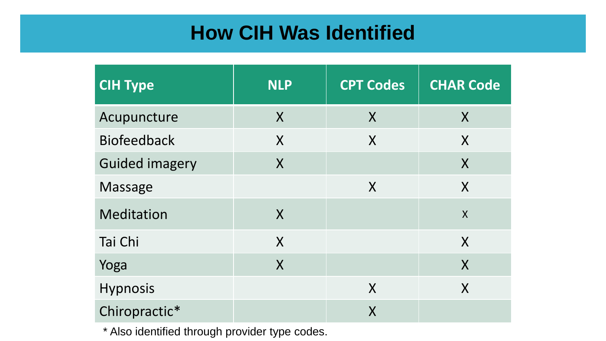#### **How CIH Was Identified**

| <b>CIH Type</b>       | <b>NLP</b> | <b>CPT Codes</b> | <b>CHAR Code</b>        |
|-----------------------|------------|------------------|-------------------------|
| Acupuncture           | $\sf X$    | $\sf X$          | X                       |
| <b>Biofeedback</b>    | X          | X                | X                       |
| <b>Guided imagery</b> | X          |                  | X                       |
| <b>Massage</b>        |            | $\sf X$          | X                       |
| Meditation            | X          |                  | $\overline{\mathsf{X}}$ |
| Tai Chi               | $\sf X$    |                  | $\boldsymbol{X}$        |
| Yoga                  | X          |                  | X                       |
| <b>Hypnosis</b>       |            | X                | X                       |
| Chiropractic*         |            | $\sf X$          |                         |

\* Also identified through provider type codes.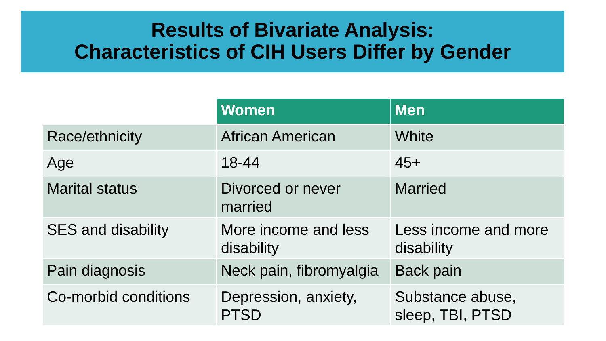#### **Results of Bivariate Analysis: Characteristics of CIH Users Differ by Gender**

|                           | <b>Women</b>                       | <b>Men</b>                           |
|---------------------------|------------------------------------|--------------------------------------|
| Race/ethnicity            | <b>African American</b>            | <b>White</b>                         |
| Age                       | 18-44                              | $45+$                                |
| <b>Marital status</b>     | Divorced or never<br>married       | <b>Married</b>                       |
| <b>SES and disability</b> | More income and less<br>disability | Less income and more<br>disability   |
| Pain diagnosis            | Neck pain, fibromyalgia            | <b>Back pain</b>                     |
| Co-morbid conditions      | Depression, anxiety,<br>PTSD       | Substance abuse,<br>sleep, TBI, PTSD |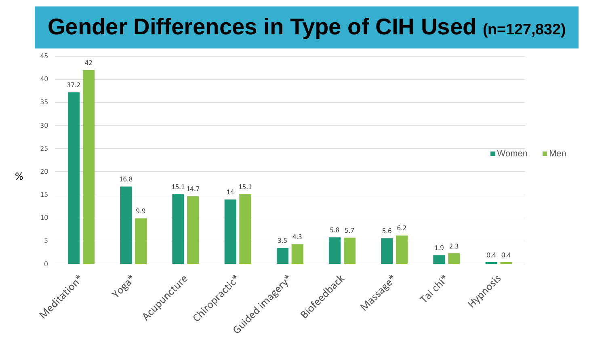# **Gender Differences in Type of CIH Used (n=127,832)**



%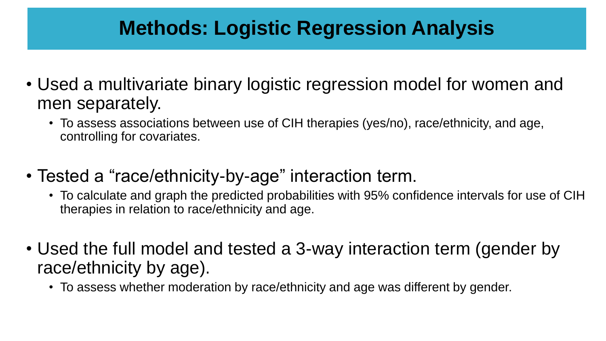#### **Methods: Logistic Regression Analysis**

- Used a multivariate binary logistic regression model for women and men separately.
	- To assess associations between use of CIH therapies (yes/no), race/ethnicity, and age, controlling for covariates.
- Tested a "race/ethnicity-by-age" interaction term.
	- To calculate and graph the predicted probabilities with 95% confidence intervals for use of CIH therapies in relation to race/ethnicity and age.
- Used the full model and tested a 3-way interaction term (gender by race/ethnicity by age).
	- To assess whether moderation by race/ethnicity and age was different by gender.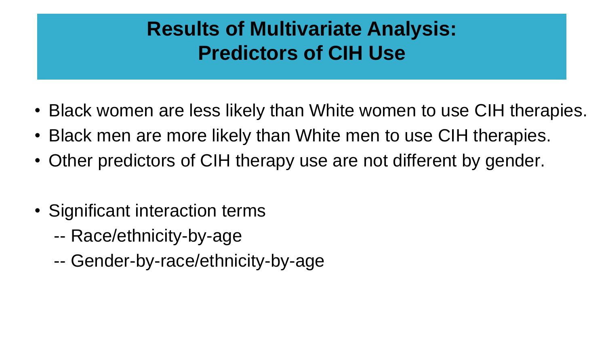# **Results of Multivariate Analysis: Predictors of CIH Use**

- Black women are less likely than White women to use CIH therapies.
- Black men are more likely than White men to use CIH therapies.
- Other predictors of CIH therapy use are not different by gender.
- Significant interaction terms
	- -- Race/ethnicity-by-age
	- -- Gender-by-race/ethnicity-by-age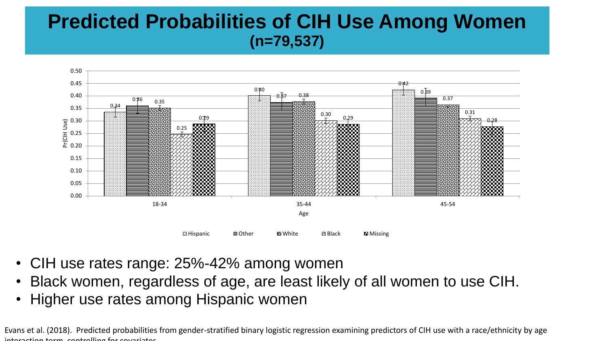#### **Predicted Probabilities of CIH Use Among Women (n=79,537)**



- CIH use rates range: 25%-42% among women
- Black women, regardless of age, are least likely of all women to use CIH.
- Higher use rates among Hispanic women

Evans et al. (2018). Predicted probabilities from gender-stratified binary logistic regression examining predictors of CIH use with a race/ethnicity by age interaction term, controlling for covariates.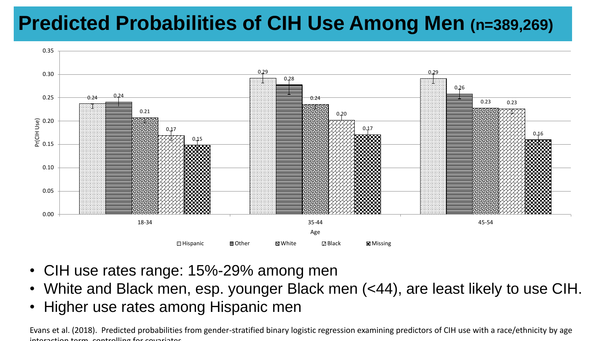# **Predicted Probabilities of CIH Use Among Men (n=389,269)**



- CIH use rates range: 15%-29% among men
- White and Black men, esp. younger Black men (<44), are least likely to use CIH.
- Higher use rates among Hispanic men

Evans et al. (2018). Predicted probabilities from gender-stratified binary logistic regression examining predictors of CIH use with a race/ethnicity by age interaction term, controlling for covariates.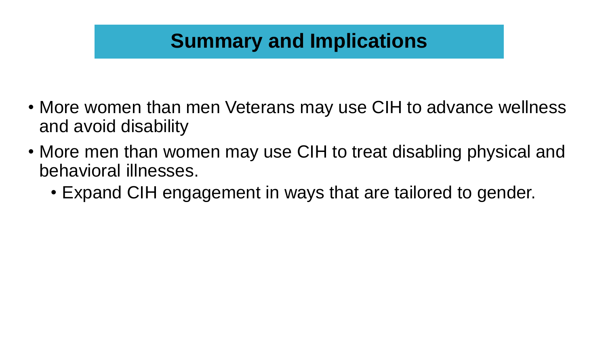#### **Summary and Implications**

- More women than men Veterans may use CIH to advance wellness and avoid disability
- More men than women may use CIH to treat disabling physical and behavioral illnesses.
	- Expand CIH engagement in ways that are tailored to gender.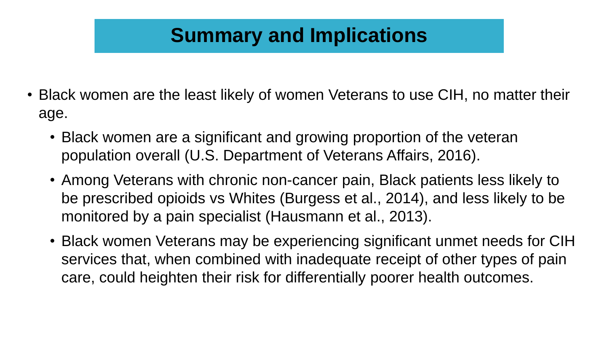#### **Summary and Implications**

- Black women are the least likely of women Veterans to use CIH, no matter their age.
	- Black women are a significant and growing proportion of the veteran population overall (U.S. Department of Veterans Affairs, 2016).
	- Among Veterans with chronic non-cancer pain, Black patients less likely to be prescribed opioids vs Whites (Burgess et al., 2014), and less likely to be monitored by a pain specialist (Hausmann et al., 2013).
	- Black women Veterans may be experiencing significant unmet needs for CIH services that, when combined with inadequate receipt of other types of pain care, could heighten their risk for differentially poorer health outcomes.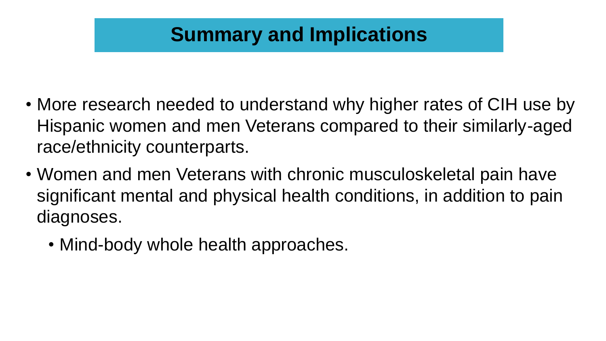#### **Summary and Implications**

- More research needed to understand why higher rates of CIH use by Hispanic women and men Veterans compared to their similarly-aged race/ethnicity counterparts.
- Women and men Veterans with chronic musculoskeletal pain have significant mental and physical health conditions, in addition to pain diagnoses.
	- Mind-body whole health approaches.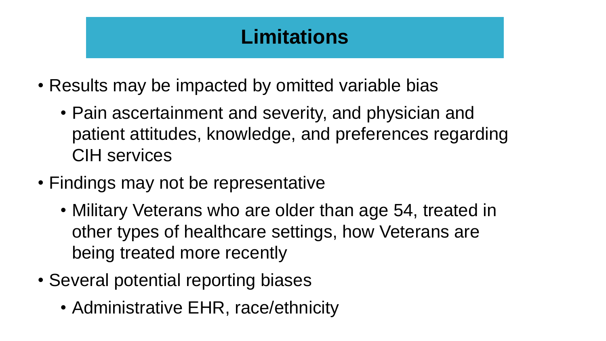#### **Limitations**

- Results may be impacted by omitted variable bias
	- Pain ascertainment and severity, and physician and patient attitudes, knowledge, and preferences regarding CIH services
- Findings may not be representative
	- Military Veterans who are older than age 54, treated in other types of healthcare settings, how Veterans are being treated more recently
- Several potential reporting biases
	- Administrative EHR, race/ethnicity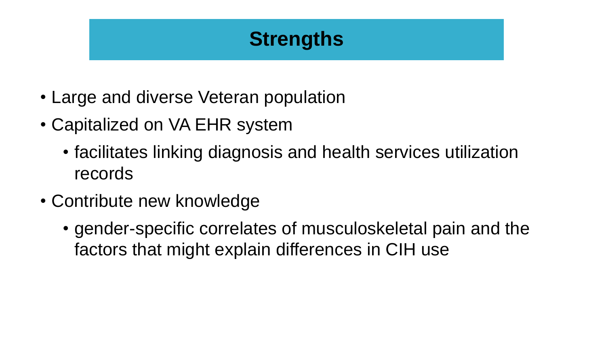### **Strengths**

- Large and diverse Veteran population
- Capitalized on VA EHR system
	- facilitates linking diagnosis and health services utilization records
- Contribute new knowledge
	- gender-specific correlates of musculoskeletal pain and the factors that might explain differences in CIH use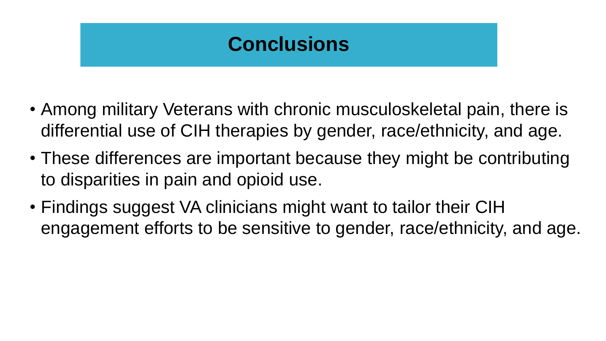## **Conclusions**

- Among military Veterans with chronic musculoskeletal pain, there is differential use of CIH therapies by gender, race/ethnicity, and age.
- These differences are important because they might be contributing to disparities in pain and opioid use.
- Findings suggest VA clinicians might want to tailor their CIH engagement efforts to be sensitive to gender, race/ethnicity, and age.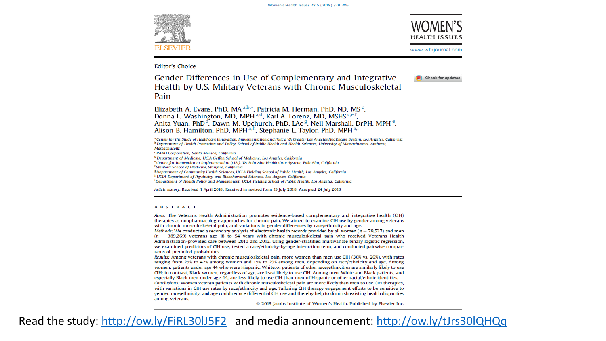Women's Health Issues 28-5 (2018) 379-386





Check for updates

**Editor's Choice** 

Gender Differences in Use of Complementary and Integrative Health by U.S. Military Veterans with Chronic Musculoskeletal Pain

Elizabeth A. Evans, PhD, MA<sup>a,b,\*</sup>, Patricia M. Herman, PhD, ND, MS<sup>c</sup>, Donna L. Washington, MD, MPH<sup>a,d</sup>, Karl A. Lorenz, MD, MSHS<sup>c,e,f</sup>, Anita Yuan, PhD<sup>a</sup>, Dawn M. Upchurch, PhD, LAc<sup>g</sup>, Nell Marshall, DrPH, MPH<sup>e</sup>, Alison B. Hamilton, PhD, MPH<sup>a,h</sup>, Stephanie L. Taylor, PhD, MPH<sup>a,i</sup>

a Center for the Study of Healthcare Innovation, Implementation and Policy, VA Greater Los Angeles Healthcare System, Los Angeles, California <sup>b</sup> Department of Health Promotion and Policy, School of Public Health and Health Sciences, University of Massachusetts, Amherst, **Massachusetts** 

<sup>c</sup> RAND Corporation, Santa Monica, California

<sup>d</sup> Department of Medicine, UCLA Geffen School of Medicine, Los Angeles, California

<sup>e</sup> Center for Innovation to Implementation (ci2i), VA Palo Alto Health Care System, Palo Alto, California

<sup>1</sup>Stanford School of Medicine, Stanford, California

<sup>8</sup>Department of Community Health Sciences, UCLA Fielding School of Public Health, Los Angeles, California

<sup>h</sup> UCIA Department of Psychiatry and Biobehavioral Sciences. Los Angeles, California

<sup>1</sup>Department of Health Policy and Management, UCLA Helding School of Public Health, Los Angeles, California

Article history: Received 1 April 2018; Received in revised form 19 July 2018; Accepted 24 July 2018

#### **ABSTRACT**

Aims: The Veterans Health Administration promotes evidence-based complementary and integrative health (CIH) therapies as nonpharmacologic approaches for chronic pain. We aimed to examine CIH use by gender among veterans with chronic musculoskeletal pain, and variations in gender differences by race/ethnicity and age.

Methods: We conducted a secondary analysis of electronic health records provided by all women ( $n = 79.537$ ) and men  $(n = 389,269)$  veterans age 18 to 54 years with chronic musculoskeletal pain who received Veterans Health Administration-provided care between 2010 and 2013. Using gender-stratified multivariate binary logistic regression, we examined predictors of CIH use, tested a race/ethnicity-by-age interaction term, and conducted pairwise comparisons of predicted probabilities.

Results: Among veterans with chronic musculoskeletal pain, more women than men use CIH (36% vs. 26%), with rates ranging from 25% to 42% among women and 15% to 29% among men, depending on race/ethnicity and age. Among women, patients under age 44 who were Hispanic, White, or patients of other race/ethnicities are similarly likely to use CIH; in contrast, Black women, regardless of age, are least likely to use CIH. Among men, White and Black patients, and especially Black men under age 44, are less likely to use CIH than men of Hispanic or other racial/ethnic identities. Conclusions: Women veteran patients with chronic musculoskeletal pain are more likely than men to use CIH therapies, with variations in CIH use rates by race/ethnicity and age. Tailoring CIH therapy engagement efforts to be sensitive to gender, race/ethnicity, and age could reduce differential CIH use and thereby help to diminish existing health disparities among veterans.

@ 2018 Jacobs Institute of Women's Health. Published by Elsevier Inc.

Read the study: <http://ow.ly/FiRL30lJ5F2> and media announcement:<http://ow.ly/tJrs30lQHQq>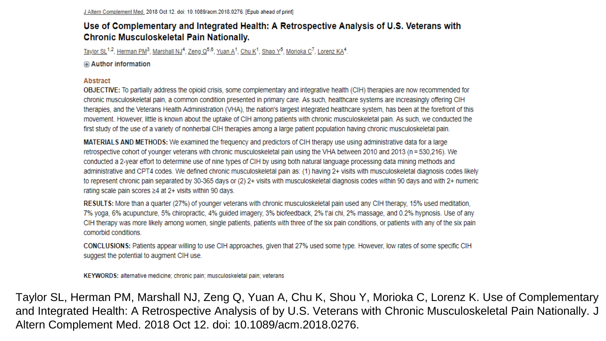#### Use of Complementary and Integrated Health: A Retrospective Analysis of U.S. Veterans with Chronic Musculoskeletal Pain Nationally.

Taylor SL<sup>1,2</sup>, Herman PM<sup>3</sup>, Marshall NJ<sup>4</sup>, Zeng Q<sup>5,6</sup>, Yuan A<sup>1</sup>, Chu K<sup>1</sup>, Shao Y<sup>5</sup>, Morioka C<sup>7</sup>, Lorenz KA<sup>4</sup>.

Author information

#### **Abstract**

OBJECTIVE: To partially address the opioid crisis, some complementary and integrative health (CIH) therapies are now recommended for chronic musculoskeletal pain, a common condition presented in primary care. As such, healthcare systems are increasingly offering CIH therapies, and the Veterans Health Administration (VHA), the nation's largest integrated healthcare system, has been at the forefront of this movement. However, little is known about the uptake of CIH among patients with chronic musculoskeletal pain. As such, we conducted the first study of the use of a variety of nonherbal CIH therapies among a large patient population having chronic musculoskeletal pain.

MATERIALS AND METHODS: We examined the frequency and predictors of CIH therapy use using administrative data for a large retrospective cohort of younger veterans with chronic musculoskeletal pain using the VHA between 2010 and 2013 (n = 530,216). We conducted a 2-year effort to determine use of nine types of CIH by using both natural language processing data mining methods and administrative and CPT4 codes. We defined chronic musculoskeletal pain as: (1) having 2+ visits with musculoskeletal diagnosis codes likely to represent chronic pain separated by 30-365 days or (2) 2+ visits with musculoskeletal diagnosis codes within 90 days and with 2+ numeric rating scale pain scores ≥4 at 2+ visits within 90 days.

RESULTS: More than a quarter (27%) of younger veterans with chronic musculoskeletal pain used any CIH therapy, 15% used meditation, 7% yoga, 6% acupuncture, 5% chiropractic, 4% guided imagery, 3% biofeedback, 2% t'ai chi, 2% massage, and 0.2% hypnosis. Use of any CIH therapy was more likely among women, single patients, patients with three of the six pain conditions, or patients with any of the six pain comorbid conditions.

CONCLUSIONS: Patients appear willing to use CIH approaches, given that 27% used some type. However, low rates of some specific CIH suggest the potential to augment CIH use.

KEYWORDS: alternative medicine; chronic pain; musculoskeletal pain; veterans

Taylor SL, Herman PM, Marshall NJ, Zeng Q, Yuan A, Chu K, Shou Y, Morioka C, Lorenz K. Use of Complementary and Integrated Health: A Retrospective Analysis of by U.S. Veterans with Chronic Musculoskeletal Pain Nationally. J Altern Complement Med. 2018 Oct 12. doi: 10.1089/acm.2018.0276.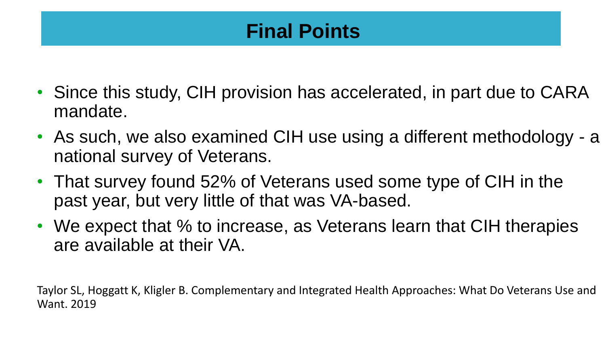### **Final Points**

- Since this study, CIH provision has accelerated, in part due to CARA mandate.
- As such, we also examined CIH use using a different methodology a national survey of Veterans.
- That survey found 52% of Veterans used some type of CIH in the past year, but very little of that was VA-based.
- We expect that % to increase, as Veterans learn that CIH therapies are available at their VA.

Taylor SL, Hoggatt K, Kligler B. Complementary and Integrated Health Approaches: What Do Veterans Use and Want. 2019